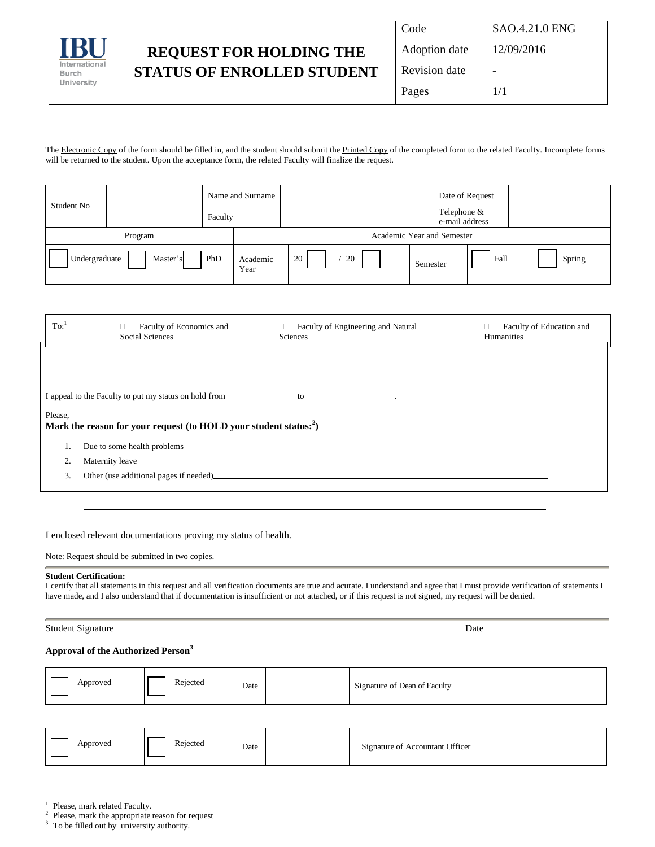

## **REQUEST FOR HOLDING THE STATUS OF ENROLLED STUDENT**

| Code          | SAO.4.21.0 ENG |
|---------------|----------------|
| Adoption date | 12/09/2016     |
| Revision date |                |
| Pages         | 1/1            |

The Electronic Copy of the form should be filled in, and the student should submit the Printed Copy of the completed form to the related Faculty. Incomplete forms will be returned to the student. Upon the acceptance form, the related Faculty will finalize the request.

| Student No<br>Faculty |          | Name and Surname |                  |                            |    |                               | Date of Request |        |
|-----------------------|----------|------------------|------------------|----------------------------|----|-------------------------------|-----------------|--------|
|                       |          |                  |                  |                            |    | Telephone &<br>e-mail address |                 |        |
| Program               |          |                  |                  | Academic Year and Semester |    |                               |                 |        |
| Undergraduate         | Master's | PhD              | Academic<br>Year | 20                         | 20 | Semester                      | Fall            | Spring |

| $\mathrm{To:}^1$ | Faculty of Economics and<br><b>Social Sciences</b>                            | Faculty of Engineering and Natural<br>Sciences | Faculty of Education and<br>Humanities |  |  |
|------------------|-------------------------------------------------------------------------------|------------------------------------------------|----------------------------------------|--|--|
|                  |                                                                               |                                                |                                        |  |  |
|                  |                                                                               |                                                |                                        |  |  |
|                  | I appeal to the Faculty to put my status on hold from ____________________to_ |                                                |                                        |  |  |
| Please,          |                                                                               |                                                |                                        |  |  |
|                  | Mark the reason for your request (to HOLD your student status: <sup>2</sup> ) |                                                |                                        |  |  |
| 1.               | Due to some health problems                                                   |                                                |                                        |  |  |
| 2.               | Maternity leave                                                               |                                                |                                        |  |  |
| 3.               | Other (use additional pages if needed)                                        |                                                |                                        |  |  |
|                  |                                                                               |                                                |                                        |  |  |

I enclosed relevant documentations proving my status of health.

Note: Request should be submitted in two copies.

## **Student Certification:**

I certify that all statements in this request and all verification documents are true and acurate. I understand and agree that I must provide verification of statements I have made, and I also understand that if documentation is insufficient or not attached, or if this request is not signed, my request will be denied.

| <b>Student Signature</b> | Date |
|--------------------------|------|
|--------------------------|------|

## **Approval of the Authorized Person 3**

| Rejected<br>Approved | Date<br>. | Signature of Accountant Officer |  |
|----------------------|-----------|---------------------------------|--|
|----------------------|-----------|---------------------------------|--|

 $\frac{1}{1}$  Please, mark related Faculty.

<sup>2</sup> Please, mark the appropriate reason for request  $\frac{3}{2}$ . To be filled out by university outhority.

To be filled out by university authority.